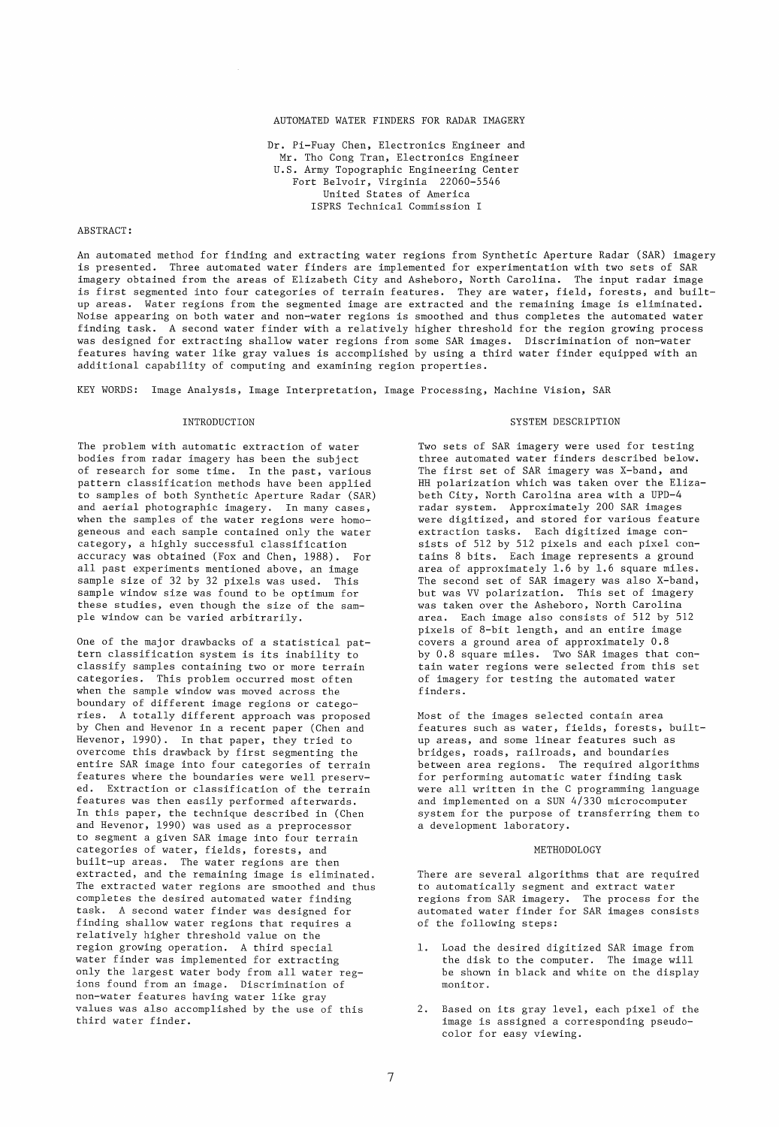# AUTOMATED WATER FINDERS FOR RADAR IMAGERY

Dr. Pi-Fuay Chen, Electronics Engineer and Mr. Tho Cong Tran, Electronics Engineer U.S. Army Topographic Engineering Center Fort Belvoir, Virginia 22060-5546 United States of America ISPRS Technical Commission I

## ABSTRACT:

An automated method for finding and extracting water regions from Synthetic Aperture Radar (SAR) imagery is presented. Three automated water finders are implemented for experimentation with two sets of SAR imagery obtained from the areas of Elizabeth City and Asheboro, North Carolina. The input radar image is first segmented into four categories of terrain features. They are water, field, forests, and builtup areas. Water regions from the segmented image are extracted and the remaining image is eliminated. Noise appearing on both water and non-water regions is smoothed and thus completes the automated water finding task. A second water finder with a relatively higher threshold for the region growing process was designed for extracting shallow water regions from some SAR images. Discrimination of non-water features having water like gray values is accomplished by using a third water finder equipped with an additional capability of computing and examining region properties.

KEY WORDS: Image Analysis, Image Interpretation, Image Processing, Machine Vision, SAR

## INTRODUCTION

The problem with automatic extraction of water bodies from radar imagery has been the subject of research for some time. In the past, various pattern classification methods have been applied to sampies of both Synthetic Aperture Radar (SAR) and aerial photographic imagery. In many cases, when the sampies of the water regions were homogeneaus and each sampie contained only the water category, a highly successful classification accuracy was obtained (Fox and Chen, 1988). For all past experiments mentioned above, an image sampie size of 32 by 32 pixels was used. This sampie window size was found to be optimum for these studies, even though the size of the sampIe window can be varied arbitrarily.

One of the major drawbacks of a statistical pattern classification system is its inability to classify sampies containing two or more terrain categories. This problem occurred most often when the sampie window was moved across the boundary of different image regions or categories. A totally different approach was proposed by Chen and Hevenor in a recent paper (Chen and Hevenor, 1990). In that paper, they tried to overcome this drawback by first segmenting the entire SAR image into four categories of terrain features where the boundaries were weIl preserved. Extraction or classification of the terrain features was then easily performed afterwards. In this paper, the technique described in (Chen and Hevenor, 1990) was used as a preprocessor to segment a given SAR image into four terrain categories of water, fields, forests, and built-up areas. The water regions are then extracted, and the remaining image is eliminated. The extracted water regions are smoothed and thus completes the desired automated water finding task. A second water finder was designed for finding shallow water regions that requires a relatively higher threshold value on the region growing operation. A third special water finder was implemented for extracting only the largest water body from all water regions found from an image. Discrimination of non-water features having water like gray values was also accomplished by the use of this third water finder.

## SYSTEM DESCRIPTION

Two sets of SAR imagery were used for testing three automated water finders described below. The first set of SAR imagery was X-band, and HH polarization which was taken over the Elizabeth City, North Carolina area with a UPD-4 radar system. Approximately 200 SAR images were digitized, and stored for various feature extraction tasks. Each digitized image consists of 512 by 512 pixels and each pixel contains 8 bits. Each image represents a ground area of approximately 1.6 by 1.6 square miles. The second set of SAR imagery was also X-band, but was VV polarization. This set of imagery was taken over the Asheboro, North Carolina area. Each image also consists of 512 by 512 pixels of 8-bit length, and an entire image covers a ground area of approximately 0.8 by 0.8 square miles. Two SAR images that contain water regions were selected from this set of imagery for testing the automated water finders.

Most of the images selected contain area features such as water, fields, forests, builtup areas, and some linear features such as bridges, roads, railroads, and boundaries between area regions. The required algorithms for performing automatic water finding task were all written in the C programming language and implemented on a SUN 4/330 microcomputer system for the purpose of transferring them to a development laboratory.

### METHODOLOGY

There are several algorithms that are required to automatically segment and extract water regions from SAR imagery. The process for the automated water finder for SAR images consists of the following steps:

- 1. Load the desired digitized SAR image from the disk to the computer. The image will be shown in black and white on the display monitor.
- 2. Based on its gray level, each pixel of the image is assigned a corresponding pseudocolor for easy viewing.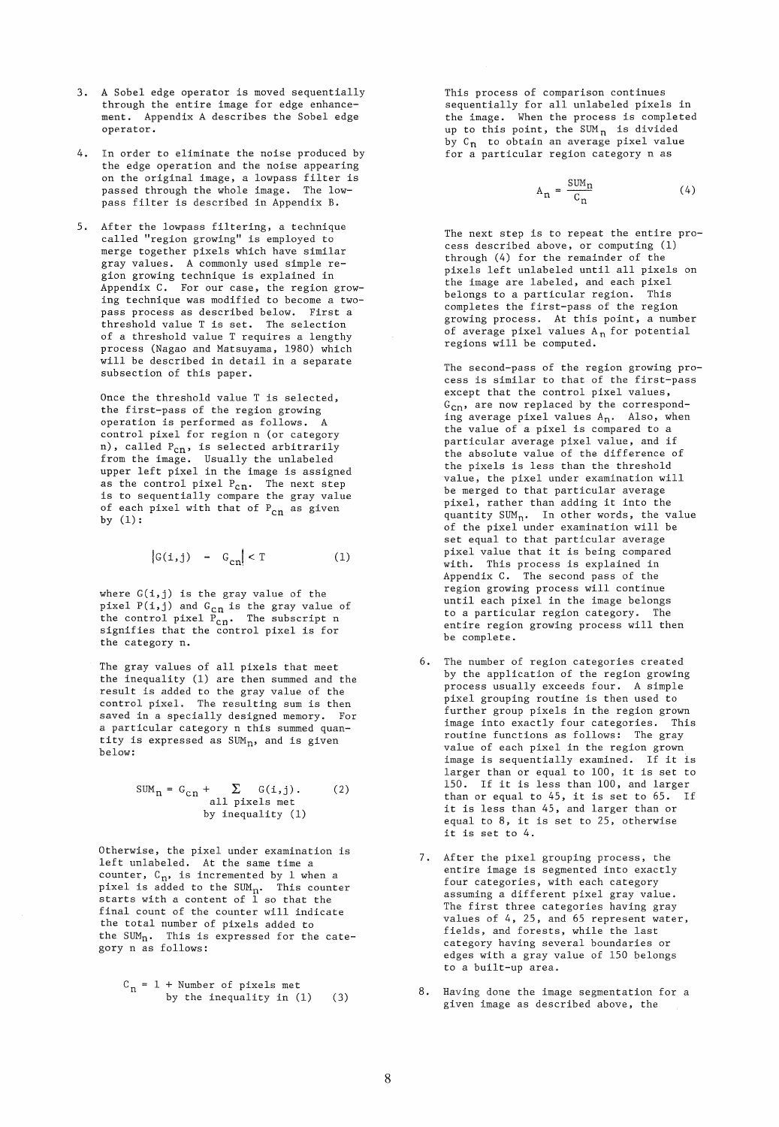- 3. A Sobel edge operator is moved sequentially through the entire image for edge enhancement. Appendix A describes the Sobel edge operator.
- 4. In order to eliminate the noise produced by the edge operation and the noise appearing on the original image, a lowpass filter is passed through the whole image. The lowpass filter is described in Appendix B.
- 5. After the lowpass filtering, a technique called "region growing" is employed to merge together pixels which have similar gray values. A commonly used simple region growing technique is explained in Appendix C. For our case, the region growing technique was modified to become a twopass process as described below. First a threshold value T is set. The selection of a threshold value T requires a lengthy process (Nagao and Matsuyama, 1980) which will be described in detail in a separate subsection of this paper.

Once the threshold value T is selected, the first-pass of the region growing operation is performed as follows. A control pixel for region n (or category n), called  $P_{cn}$ , is selected arbitrarily from the image. Usually the unlabeled upper left pixel in the image is assigned as the control pixel  $P_{cn}$ . The next step is to sequentially compare the gray value of each pixel with that of  $P_{cn}$  as given by (1):

$$
|\mathcal{G}(i,j) - \mathcal{G}_{cn}| < T \tag{1}
$$

where  $G(i, j)$  is the gray value of the pixel  $P(i,j)$  and  $G_{cn}$  is the gray value of the control pixel  $P_{cn}$ . The subscript n signifies that the control pixel is for the category n.

The gray values of all pixels that meet the inequality (1) are then summed and the result is added to the gray value of the control pixel. The resulting sum is then saved in a specially designed memory. For a particular category n this summed quantity is expressed as  $SUM_n$ , and is given below:

$$
SUMn = Gcn + \sum_{\text{all pixels met}} G(i,j).
$$
 (2)  
all pixels met by inequality (1)

Otherwise, the pixel under examination is left unlabeled. At the same time a counter,  $C_n$ , is incremented by 1 when a pixel is added to the SUM<sub>n</sub>. This counter<br>starts with a content of 1 so that the final count of the counter will indicate the total number of pixels added to the  $SUM_n$ . This is expressed for the category n as follows:

$$
C_n = 1 + Number of pixels metby the inequality in (1) (3)
$$

This process of comparison continues sequentially for all unlabeled pixels in the image. When the process is completed up to this point, the SUM<sub>n</sub> is divided by  $C_n$  to obtain an average pixel value for a particular region category n as

$$
A_n = \frac{Sum_n}{C_n} \tag{4}
$$

The next step is to repeat the entire process described above, or computing (1) through (4) for the remainder of the pixels left unlabeled until all pixels on the image are labeled, and each pixel belongs to a particular region. This completes the first-pass of the region growing process. At this point, a number of average pixel values  $\mathtt{A}_\mathtt{n}$  for potential regions will be computed.

The second-pass of the region growing process is similar to that of the first-pass except that the control pixel values,  $G_{cn}$ , are now replaced by the corresponding average pixel values  $A_n$ . Also, when the value of a pixel is compared to a particular average pixel value, and if the absolute value of the difference of the pixels is less than the threshold value, the pixel under examination will be merged to that particular average pixel, rather than adding it into the quantity  $SUM_n$ . In other words, the value of the pixel under examination will be set equal to that particular average pixel value that it is being compared with. This process is explained in Appendix C. The second pass of the region growing process will continue until each pixel in the image belongs to a particular region category. The entire region growing process will then be complete.

- 6. The number of region categories created by the application of the region growing process usually exceeds four. A simple pixel grouping routine is then used to further group pixels in the region grown image into exactly four categories. This routine functions as follows: The gray value of each pixel in the region grown image is sequentially examined. If it is larger than or equal to 100, it is set to 150. If it is less than 100, and larger than or equal to 45, it is set to 65. If it is less than 45, and larger than or equal to 8, it is set to 25, otherwise it is set to 4.
- 7. After the pixel grouping process, the entire image is segmented into exactly four categories, with each category assuming a different pixel gray value. The first three categories having gray values of 4, 25, and 65 represent water, fields, and forests, while the last category having several boundaries or edges with a gray value of 150 belongs to a built-up area.
- 8. Having done the image segmentation for a given image as described above, the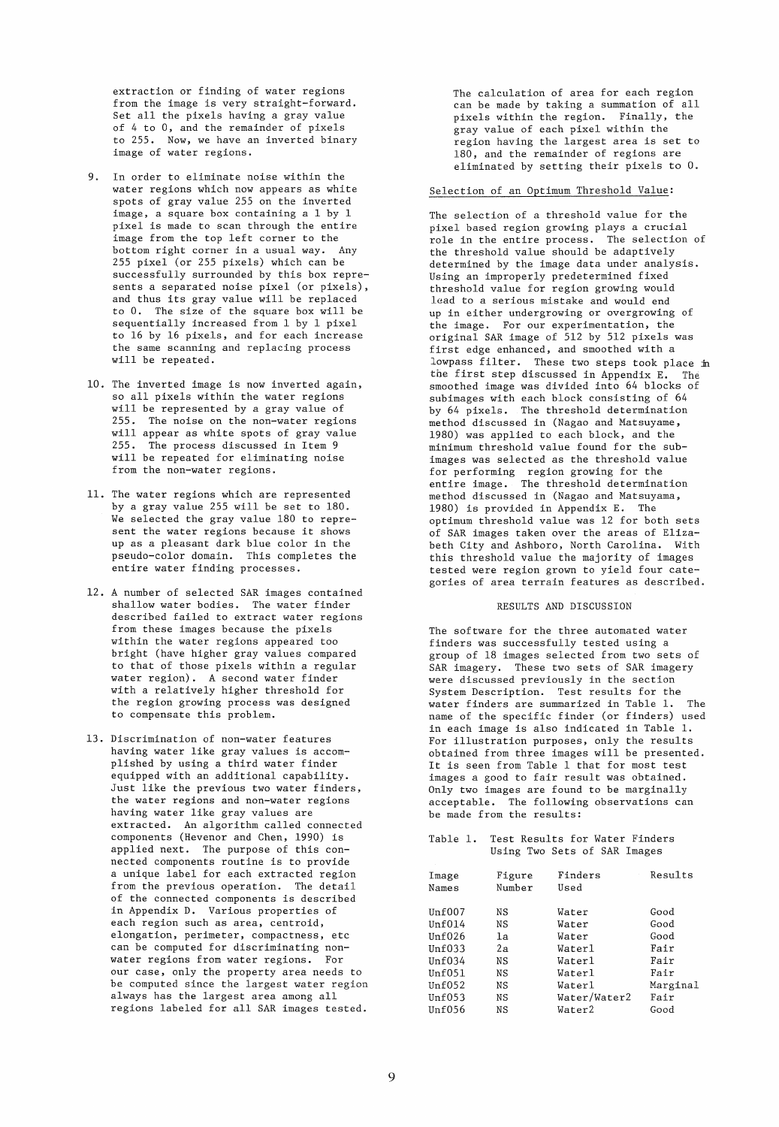extraction or finding of water regions from the image is very straight-forward. Set all the pixels having a gray value of 4 to 0, and the remainder of pixels to 255. Now, we have an inverted binary image of water regions.

- 9. In order to eliminate noise within the water regions which now appears as white spots of gray value 255 on the inverted image, a square box containing a 1 by 1 pixel is made to scan through the entire image from the top left corner to the bottom right corner in a usual way. Any 255 pixel (or 255 pixels) which can be successfully surrounded by this box represents a separated noise pixel (or pixels), and thus its gray value will be replaced to O. The size of the square box will be sequentially increased from 1 by 1 pixel to 16 by 16 pixels, and for each increase the same scanning and replacing process will be repeated.
- 10. The inverted image is now inverted again, so all pixels within the water regions will be represented by a gray value of 255. The noise on the non-water regions will appear as white spots of gray value 255. The process discussed in Item 9 will be repeated for eliminating noise from the non-water regions.
- 11. The water regions which are represented by a gray value 255 will be set to 180. We selected the gray value 180 to represent the water regions because it shows up as a pleasant dark blue color in the pseudo-color domain. This completes the .<br>entire water finding processes.
- 12. A number of selected SAR images contained shallow water bodies. The water finder described failed to extract water regions from these images because the pixels within the water regions appeared too bright (have higher gray values compared to that of those pixels within a regular water region). A second water finder with a relatively higher threshold for the region growing process was designed to compensate this problem.
- 13. Discrimination of non-water features having water like gray values is accomplished by using a third water finder equipped with an additional capability. Just like the previous two water finders, the water regions and non-water regions having water like gray values are extracted. An algorithm called connected components (Hevenor and Chen, 1990) is applied next. The purpose of this connected components routine is to provide a unique label for each extracted region from the previous operation. The detail of the connected components is described in Appendix D. Various properties of each region such as area, centroid, elongation, perimeter, compactness, etc can be computed for discriminating nonwater regions from water regions. For our case, only the property area needs to be computed since the largest water region always has the largest area among all regions labeled for all SAR images tested.

The calculation of area for each region can be made by taking a summation of all pixels within tne region. Finally, the gray value of each pixel within the region having the largest area is set to 180, and the remainder of regions are eliminated by setting their pixels to O.

# Selection of an Optimum Threshold Value:

The selection of a threshold value for the pixel based region growing plays a crucial role in the entire process. The selection of the threshold value should be adaptively determined by the image data under analysis. Using an improperly predetermined fixed threshold value for region growing would lead to a serious mistake and would end up in either undergrowing or overgrowing of the image. For our experimentation, the original SAR image of 512 by 512 pixels was first edge enhanced, and smoothed with a lowpass filter. These two steps took place in the first step discussed in Appendix E. The smoothed image was divided into 64 blocks of sub images with each block consisting of 64 by 64 pixels. The threshold determination method discussed in (Nagao and Matsuyame, 1980) was applied to each block, and the minimum threshold value found for the subimages was selected as the threshold value for performing region growing for the entire image. The threshold determination method discussed in (Nagao and Matsuyama, 1980) is provided in Appendix E. The optimum threshold value was 12 for both sets of SAR images taken over the areas of Elizabeth City and Ashboro, North Carolina. With this threshold value the majority of images tested were region grown to yield four categories of area terrain features as described.

### RESULTS AND DISCUSSION

The software for the three automated water finders was successfully tested using a group of 18 images selected from two sets of SAR imagery. These two sets of SAR imagery were discussed previously in the section System Description. Test results for the water finders are summarized in Table 1. The name of the specific finder (or finders) used in each image is also indicated in Table 1. For illustration purposes, only the results obtained from three images will be presented. It is seen from Table 1 that for most test images a good to fair result was obtained. Only two images are found to be marginally acceptable. The following observations can be made from the results:

### Table 1. Test Results for Water Finders Using Two Sets of SAR Images

| Image  | Figure | Finders      | Results  |
|--------|--------|--------------|----------|
| Names  | Number | Used         |          |
|        |        |              |          |
| Unf007 | ΝS     | Water        | Good     |
| Unf014 | ΝS     | Water        | Good     |
| Unf026 | 1a     | Water        | Good     |
| Unf033 | 2а     | Waterl       | Fair     |
| Unf034 | NS     | Waterl       | Fair     |
| Unf051 | ΝS     | Waterl       | Fair     |
| Unf052 | ΝS     | Waterl       | Marginal |
| Unf053 | ΝS     | Water/Water2 | Fair     |
| Unf056 | ΝS     | Water2       | Good     |
|        |        |              |          |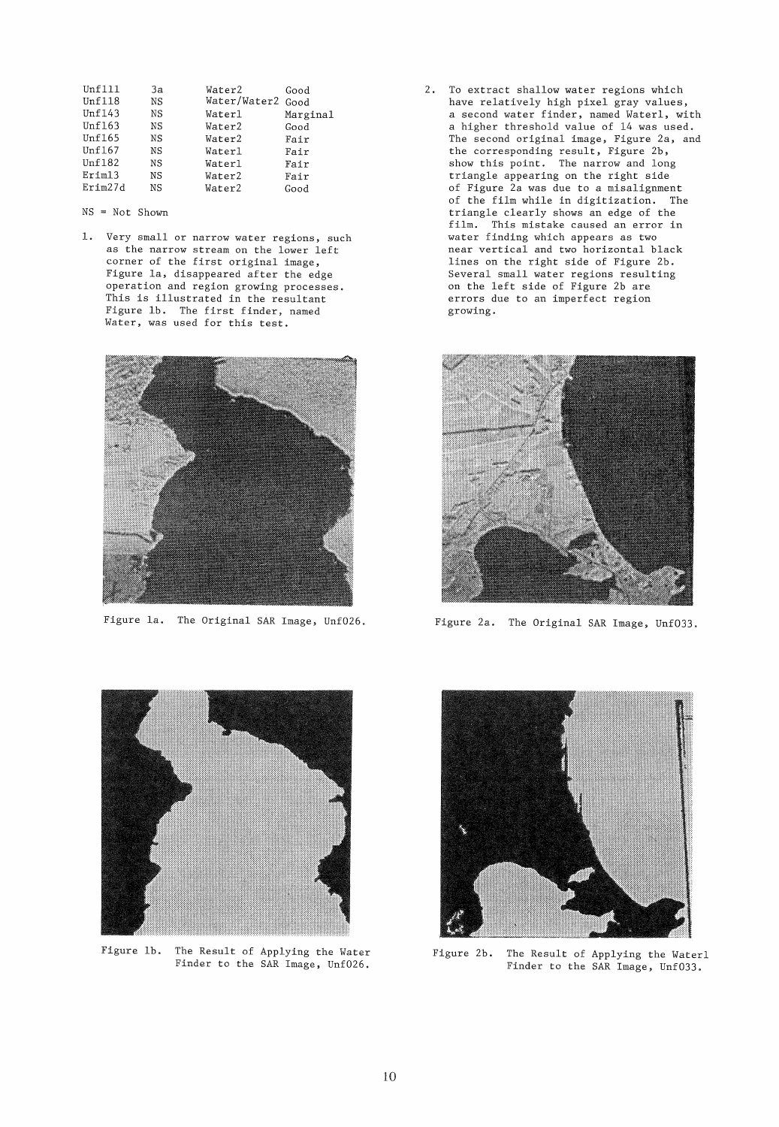| Зa | Water2 | Good         |
|----|--------|--------------|
| NS |        | Good         |
| NS | Waterl | Marginal     |
| ΝS | Water2 | Good         |
| ΝS | Water2 | Fair         |
| ΝS | Waterl | Fair         |
| ΝS | Waterl | Fair         |
| ΝS | Water2 | Fair         |
| ΝS | Water2 | Good         |
|    |        | Water/Water2 |

NS = Not Shown

1. Very small or narrow water regions, such as the narrow stream on the lower left corner of the first original image, Figure la, disappeared after the edge operation and region growing processes. This is illustrated in the resultant Figure lb. The first finder, named Water, was used for this test.



Figure la. The Original SAR Image, Unf026.

2. To extract shallow water regions which have relatively high pixel gray values, a second water finder, named Waterl, with a higher threshold value of 14 was used. The second original image, Figure *2a,* and the corresponding result, Figure 2b, show this point. The narrow and long triangle appearing on the right side of Figure 2a was due to a misalignment of the film while in digitization. The triangle clearly shows an edge of the film. This mistake caused an error in water finding which appears as two near vertical and two horizontal black lines on the right side of Figure 2b. Several small water regions resulting on the left side of Figure 2b are errors due to an imperfect region growing.



Figure *2a.* The Original SAR Image, Unf033.



Figure lb. The Result of Applying the Water Finder to the SAR Image, Unf026.



Figure 2b. The Result of Applying the Waterl Finder to the SAR Image, Unf033.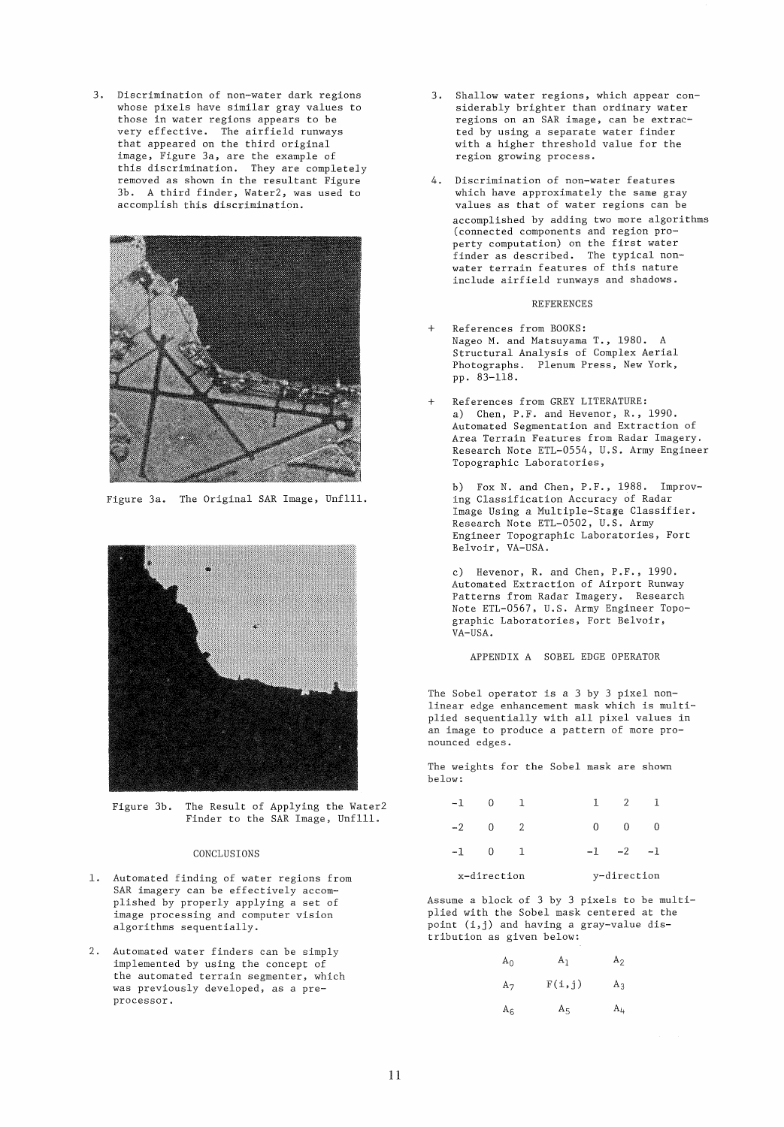3. Discrimination of non-water dark regions whose pixels have similar gray values to those in water regions appears to be very effective. The airfield runways that appeared on the third original image, Figure 3a, are the example of this discrimination. They are completeJy removed as shown in the resultant Figure 3b. A third finder, Water2, was used to accomplish this diserimination.



Figure 3a. The Original SAR Image, Unflll.



Figure 3b. The Result of Applying the Water2 Finder to the SAR Image, Unflll.

# CONCLUSIONS

- 1. Automated finding of water regions from SAR imagery can be effectively accomplished by properly applying a set of image processing and computer vision algorithms sequentially.
- 2. Automated water finders can be simply implemented by using the concept of the automated terrain segmenter, which was previously developed, as a preprocessor.
- 3. Shallow water regions, which appear considerably brighter than ordinary water regions on an SAR image, can be extracted by using aseparate water finder with a higher threshold value for the region growing process.
- 4. Discrimination of non-water features which have approximately the same gray values as that of water regions can be accomplished by adding two more algorithms (connected components and region property computation) on the first water finder as described. The typical nonwater terrain features of this nature include airfield runways and shadows.

### REFERENCES

- + References from BOOKS: Nageo M. and Matsuyama T., 1980. A Structural Analysis of Complex Aerial Photographs. Plenum Press, New York, pp. 83-118.
- References from GREY LITERATURE: a) Chen, P.F. and Hevenor, R., 1990. Automated Segmentation and Extraction of Area Terrain Features from Radar Imagery. Research Note ETL-0554, U.S. Army Engineer Topographie Laboratories,

b) Fox N. and Chen, P.F., 1988. Improving Classification Accuracy of Radar Image Using a Multiple-Stage Classifier. Research Note ETL-0502, U.S. Army Engineer Topographie Laboratories, Fort Belvoir, VA-USA.

c) Hevenor, R. and Chen, P.F., 1990. Automated Extraction of Airport Runway Patterns from Radar Imagery. Research Note ETL-0567, U.S. Army Engineer Topographie Laboratories, Fort Belvoir, VA-USA.

APPENDIX A SOBEL EDGE OPERATOR

The Sobel operator is a 3 by 3 pixel nonlinear edge enhaneement mask which is multiplied sequentially with all pixel values in an image to produee a pattern of more pronounced edges.

The weights for the Sobel mask are shown below:

| $-1$ |             |  | $\overline{2}$        |  |
|------|-------------|--|-----------------------|--|
|      | $-2$ 0      |  | $0 \qquad 0 \qquad 0$ |  |
|      | $-1$ 0 1    |  | $-1$ $-2$ $-1$        |  |
|      | x-direction |  | y-direction           |  |

Assume a block of 3 by 3 pixels to be multiplied with the Sobel mask centered at the point (i,j) and having a gray-value distribution as given below:

| $A_0$ | $A_1$    | $A_2$ |
|-------|----------|-------|
| $A_7$ | $F(i,j)$ | $A_3$ |
| $A_6$ | $A_5$    | $A_4$ |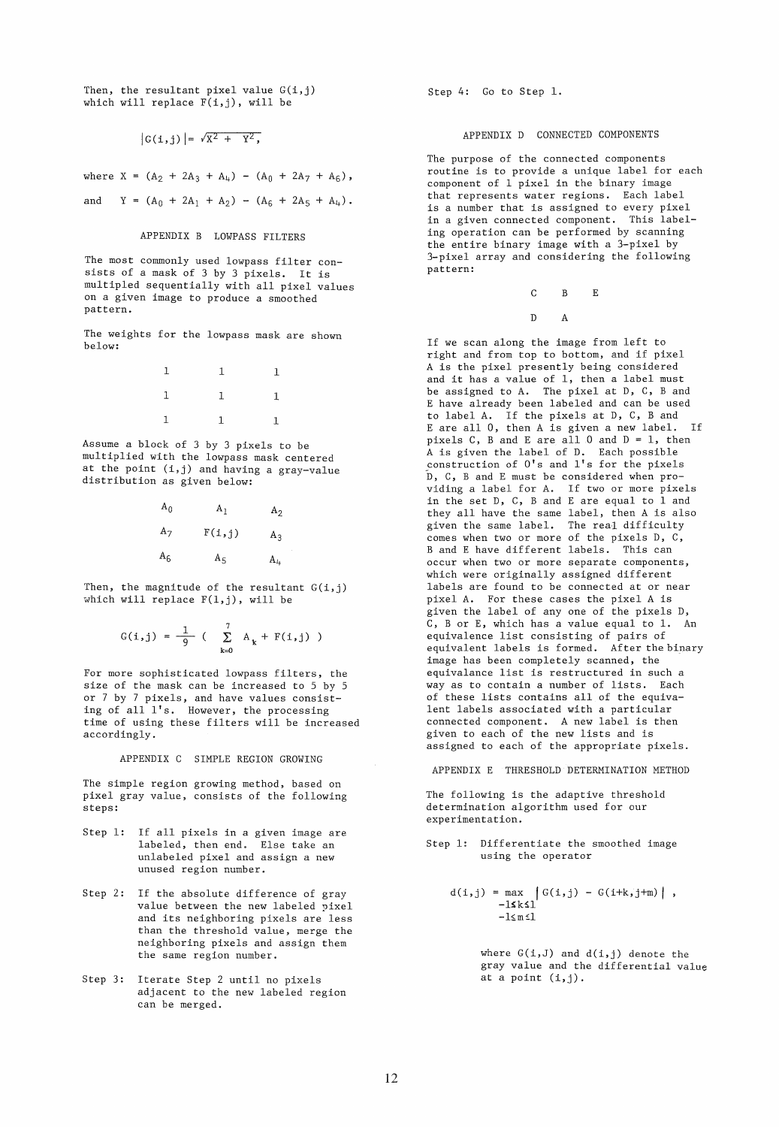Then, the resultant pixel value  $G(i, j)$ which will replace  $F(i,j)$ , will be

 $|G(i, j)| = \sqrt{X^2 + Y^2}$ ,

where  $X = (A_2 + 2A_3 + A_4) - (A_0 + 2A_7 + A_6)$ ,

and  $Y = (A_0 + 2A_1 + A_2) - (A_6 + 2A_5 + A_4)$ .

### APPENDIX B LOWPASS FILTERS

The most commonly used lowpass filter consists of a mask of 3 by 3 pixels. It is multipled sequentially with all pixel values on a given image to produce a smoothed pattern.

The weights for the lowpass mask are shown below:

| $1 \qquad \qquad 1 \qquad \qquad 1$                           |  |
|---------------------------------------------------------------|--|
| $\begin{array}{cccccccccc} 1 & & & 1 & & & 1 \end{array}$     |  |
| $\begin{array}{cccccccccc} 1 & & & & 1 & & & & 1 \end{array}$ |  |

Assurne a block of 3 by 3 pixels to be multiplied with the lowpass mask centered at the point (i,j) and having a gray-value distribution as given below:

| $A_0$ | A <sub>1</sub> | A <sub>2</sub> |
|-------|----------------|----------------|
| $A_7$ | F(i,j)         | $A_3$          |
| $A_6$ | $A_{5}$        | $A_{4}$        |

Then, the magnitude of the resultant  $G(i, j)$ which will replace F(l,j), will be

$$
G(i,j) = \frac{1}{9} \left( \sum_{k=0}^{7} A_k + F(i,j) \right)
$$

For more sophisticated lowpass filters, the size of the mask can be increased to 5 by 5 or 7 by 7 pixels, and have values consisting of all l's. However, the processing time of using these filters will be increased accordingly.

APPENDIX C SIMPLE REGION GROWING

The simple region growing method, based on pixel gray value, consists of the following steps:

- Step 1: If all pixels in a given image are labeled, then end. Else take an unlabeled pixel and assign a new unused region number.
- Step 2: If the absolute difference of gray value between the new labeled pixel and its neighboring pixels are less than the threshold value, merge the neighboring pixels and assign them the same region number.
- Step 3: Iterate Step 2 until no pixels adjacent to the new labeled region can be merged.

Step 4: Go to Step 1.

#### APPENDIX D CONNECTED COMPONENTS

The purpose of the connected components routine is to provide a unique label for each component of 1 pixel in the binary image that represents water regions. Each label is a number that is assigned to every pixel in a given connected component. This labeling operation can be performed by scanning the entire binary image with a 3-pixel by 3-pixel array and considering the following pattern:

> C B E D A

If we scan along the image from left to right and from top to bottom, and if pixel A is the pixel presently being considered and it has a value of 1, then a label must be assigned to A. The pixel at D, C, B and E have already been labeled and can be used to label A. If the pixels at D, C, Band E are all 0, then A is given a new label. If pixels C, B and E are all 0 and  $D = 1$ , then A is given the label of D. Each possible construction of O's and l's for the pixels D, C, Band E must be considered when providing a label for A. If two or more pixels in the set  $D$ ,  $C$ ,  $B$  and  $E$  are equal to  $1$  and they all have the same label, then A is also given the same label. The real difficulty comes when two or more of the pixels D, C, Band E have different labels. This can occur when two or more separate components, which were originally assigned different labels are found to be connected at or near pixel A. For these cases the pixel A is given the label of any one of the pixels D, C, B or E, which has a value equal to 1. An equivalence list consisting of pairs of equivalent labels is formed. After the binary image has been completely scanned, the equivalance list is restructured in such a way as to contain a number of lists. Each of these lists contains all of the equivalent labels associated with a particular connected component. A new label is then given to each of the new lists and is assigned to each of the appropriate pixels.

APPENDIX E THRESHOLD DETERMINATION METHOD

The following is the adaptive threshold determination algorithm used for our experimentation.

- Step 1: Differentiate the smoothed image using the operator
	- $d(i,j) = max \{ G(i,j) G(i+k,j+m) \},$  $-1$ sksl $'$  $-1$  $\leq$  m $\leq$ 1

where  $G(i, J)$  and  $d(i, j)$  denote the gray value and the differential value at a point  $(i,j)$ .